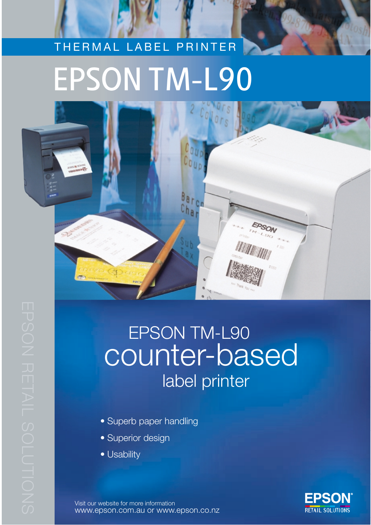# THERMAL LABEL PRINTER EPSON TM-L90



## EPSON TM-L90 counter-based label printer

- Superb paper handling
- Superior design
- Usability

Visit our website for more information www.epson.com.au or www.epson.co.nz

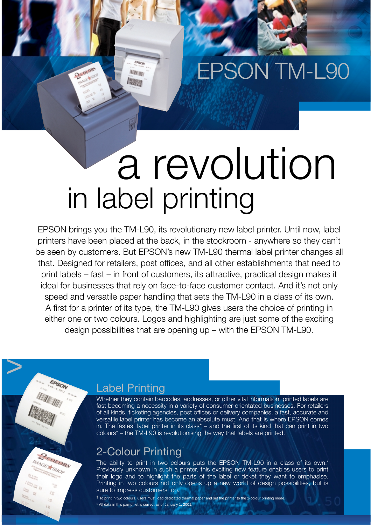# EPSON TM-L90

# a revolution in label printing

EPSON brings you the TM-L90, its revolutionary new label printer. Until now, label printers have been placed at the back, in the stockroom - anywhere so they can't be seen by customers. But EPSON's new TM-L90 thermal label printer changes all that. Designed for retailers, post offices, and all other establishments that need to print labels – fast – in front of customers, its attractive, practical design makes it ideal for businesses that rely on face-to-face customer contact. And it's not only speed and versatile paper handling that sets the TM-L90 in a class of its own. A first for a printer of its type, the TM-L90 gives users the choice of printing in either one or two colours. Logos and highlighting are just some of the exciting design possibilities that are opening up – with the EPSON TM-L90.

#### Label Printing

2 conom

**HAL IN Issue** 

>

**BEOLORS** IMAGE + SHOP

ίØ

Whether they contain barcodes, addresses, or other vital information, printed labels are fast becoming a necessity in a variety of consumer-orientated businesses. For retailers of all kinds, ticketing agencies, post offices or delivery companies, a fast, accurate and versatile label printer has become an absolute must. And that is where EPSON comes in. The fastest label printer in its class\* – and the first of its kind that can print in two  $colours<sup>*</sup> - the TM-L90$  is revolutionising the way that labels are printed.

### 2-Colour Printing†

The ability to print in two colours puts the EPSON TM-L90 in a class of its own.\* Previously unknown in such a printer, this exciting new feature enables users to print their logo and to highlight the parts of the label or ticket they want to emphasise. Printing in two colours not only opens up a new world of design possibilities, but is sure to impress customers too.

 $\dagger$  To print in two colours, users must load dedicated thermal paper and set the printer to the 2-colour printing mode \* All data in this pamphlet is correct as of January 1, 2001.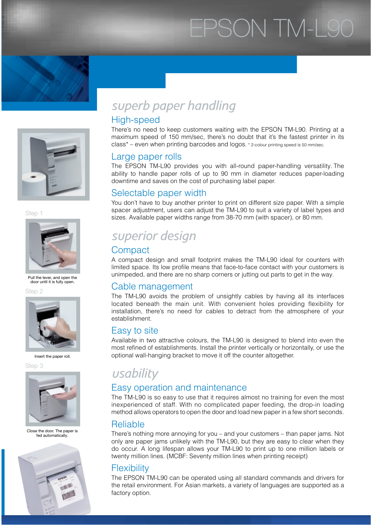# EPSON TM-L90





Step 1



Pull the lever, and open the door until it is fully open.

Step 2



Insert the paper roll.

Step 3



Close the door. The paper is fed automatically.



## *superb paper handling*

#### High-speed

There's no need to keep customers waiting with the EPSON TM-L90. Printing at a maximum speed of 150 mm/sec, there's no doubt that it's the fastest printer in its class\* – even when printing barcodes and logos. \* 2-colour printing speed is 50 mm/sec.

#### Large paper rolls

The EPSON TM-L90 provides you with all-round paper-handling versatility.The ability to handle paper rolls of up to 90 mm in diameter reduces paper-loading downtime and saves on the cost of purchasing label paper.

#### Selectable paper width

You don't have to buy another printer to print on different size paper. With a simple spacer adjustment, users can adjust the TM-L90 to suit a variety of label types and sizes. Available paper widths range from 38-70 mm (with spacer), or 80 mm.

## *superior design*

#### **Compact**

A compact design and small footprint makes the TM-L90 ideal for counters with limited space. Its low profile means that face-to-face contact with your customers is unimpeded, and there are no sharp corners or jutting out parts to get in the way.

#### Cable management

The TM-L90 avoids the problem of unsightly cables by having all its interfaces located beneath the main unit. With convenient holes providing flexibility for installation, there's no need for cables to detract from the atmosphere of your establishment.

#### Easy to site

Available in two attractive colours, the TM-L90 is designed to blend into even the most refined of establishments. Install the printer vertically or horizontally, or use the optional wall-hanging bracket to move it off the counter altogether.

## *usability*

#### Easy operation and maintenance

The TM-L90 is so easy to use that it requires almost no training for even the most inexperienced of staff. With no complicated paper feeding, the drop-in loading method allows operators to open the door and load new paper in a few short seconds.

#### Reliable

There's nothing more annoying for you – and your customers – than paper jams. Not only are paper jams unlikely with the TM-L90, but they are easy to clear when they do occur. A long lifespan allows your TM-L90 to print up to one million labels or twenty million lines. (MCBF: Seventy million lines when printing receipt)

#### **Flexibility**

The EPSON TM-L90 can be operated using all standard commands and drivers for the retail environment. For Asian markets, a variety of languages are supported as a factory option.